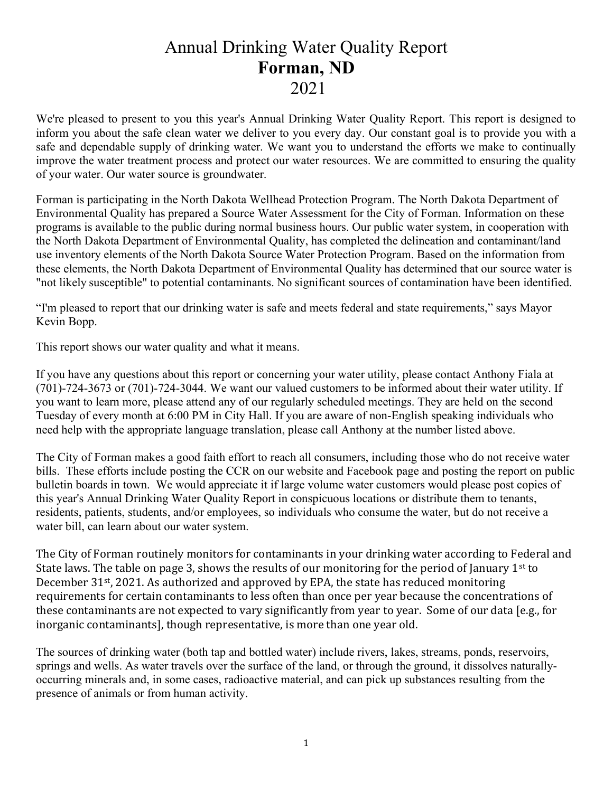## Annual Drinking Water Quality Report Forman, ND 2021

We're pleased to present to you this year's Annual Drinking Water Quality Report. This report is designed to inform you about the safe clean water we deliver to you every day. Our constant goal is to provide you with a safe and dependable supply of drinking water. We want you to understand the efforts we make to continually improve the water treatment process and protect our water resources. We are committed to ensuring the quality of your water. Our water source is groundwater.

Forman is participating in the North Dakota Wellhead Protection Program. The North Dakota Department of Environmental Quality has prepared a Source Water Assessment for the City of Forman. Information on these programs is available to the public during normal business hours. Our public water system, in cooperation with the North Dakota Department of Environmental Quality, has completed the delineation and contaminant/land use inventory elements of the North Dakota Source Water Protection Program. Based on the information from these elements, the North Dakota Department of Environmental Quality has determined that our source water is "not likely susceptible" to potential contaminants. No significant sources of contamination have been identified.

"I'm pleased to report that our drinking water is safe and meets federal and state requirements," says Mayor Kevin Bopp.

This report shows our water quality and what it means.

If you have any questions about this report or concerning your water utility, please contact Anthony Fiala at (701)-724-3673 or (701)-724-3044. We want our valued customers to be informed about their water utility. If you want to learn more, please attend any of our regularly scheduled meetings. They are held on the second Tuesday of every month at 6:00 PM in City Hall. If you are aware of non-English speaking individuals who need help with the appropriate language translation, please call Anthony at the number listed above.

The City of Forman makes a good faith effort to reach all consumers, including those who do not receive water bills. These efforts include posting the CCR on our website and Facebook page and posting the report on public bulletin boards in town. We would appreciate it if large volume water customers would please post copies of this year's Annual Drinking Water Quality Report in conspicuous locations or distribute them to tenants, residents, patients, students, and/or employees, so individuals who consume the water, but do not receive a water bill, can learn about our water system.

The City of Forman routinely monitors for contaminants in your drinking water according to Federal and State laws. The table on page 3, shows the results of our monitoring for the period of January  $1<sup>st</sup>$  to December 31<sup>st</sup>, 2021. As authorized and approved by EPA, the state has reduced monitoring requirements for certain contaminants to less often than once per year because the concentrations of these contaminants are not expected to vary significantly from year to year. Some of our data [e.g., for inorganic contaminants], though representative, is more than one year old.

The sources of drinking water (both tap and bottled water) include rivers, lakes, streams, ponds, reservoirs, springs and wells. As water travels over the surface of the land, or through the ground, it dissolves naturallyoccurring minerals and, in some cases, radioactive material, and can pick up substances resulting from the presence of animals or from human activity.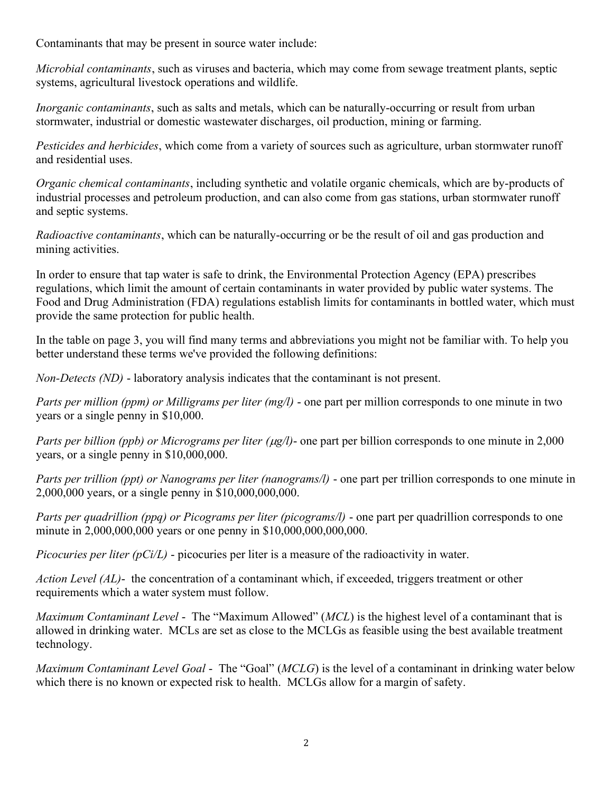Contaminants that may be present in source water include:

Microbial contaminants, such as viruses and bacteria, which may come from sewage treatment plants, septic systems, agricultural livestock operations and wildlife.

Inorganic contaminants, such as salts and metals, which can be naturally-occurring or result from urban stormwater, industrial or domestic wastewater discharges, oil production, mining or farming.

Pesticides and herbicides, which come from a variety of sources such as agriculture, urban stormwater runoff and residential uses.

Organic chemical contaminants, including synthetic and volatile organic chemicals, which are by-products of industrial processes and petroleum production, and can also come from gas stations, urban stormwater runoff and septic systems.

Radioactive contaminants, which can be naturally-occurring or be the result of oil and gas production and mining activities.

In order to ensure that tap water is safe to drink, the Environmental Protection Agency (EPA) prescribes regulations, which limit the amount of certain contaminants in water provided by public water systems. The Food and Drug Administration (FDA) regulations establish limits for contaminants in bottled water, which must provide the same protection for public health.

In the table on page 3, you will find many terms and abbreviations you might not be familiar with. To help you better understand these terms we've provided the following definitions:

Non-Detects (ND) - laboratory analysis indicates that the contaminant is not present.

Parts per million (ppm) or Milligrams per liter (mg/l) - one part per million corresponds to one minute in two years or a single penny in \$10,000.

Parts per billion (ppb) or Micrograms per liter ( $\mu$ g/l)- one part per billion corresponds to one minute in 2,000 years, or a single penny in \$10,000,000.

Parts per trillion (ppt) or Nanograms per liter (nanograms/l) - one part per trillion corresponds to one minute in 2,000,000 years, or a single penny in \$10,000,000,000.

Parts per quadrillion (ppq) or Picograms per liter (picograms/l) - one part per quadrillion corresponds to one minute in 2,000,000,000 years or one penny in \$10,000,000,000,000.

Picocuries per liter  $(pCi/L)$  - picocuries per liter is a measure of the radioactivity in water.

Action Level (AL)- the concentration of a contaminant which, if exceeded, triggers treatment or other requirements which a water system must follow.

Maximum Contaminant Level - The "Maximum Allowed" (MCL) is the highest level of a contaminant that is allowed in drinking water. MCLs are set as close to the MCLGs as feasible using the best available treatment technology.

*Maximum Contaminant Level Goal* - The "Goal" (*MCLG*) is the level of a contaminant in drinking water below which there is no known or expected risk to health. MCLGs allow for a margin of safety.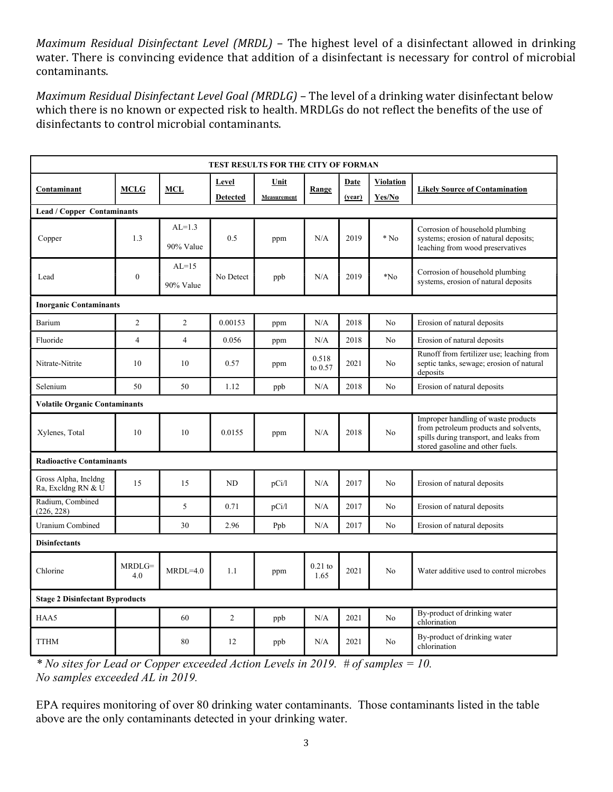Maximum Residual Disinfectant Level (MRDL) – The highest level of a disinfectant allowed in drinking water. There is convincing evidence that addition of a disinfectant is necessary for control of microbial contaminants.

Maximum Residual Disinfectant Level Goal (MRDLG) – The level of a drinking water disinfectant below which there is no known or expected risk to health. MRDLGs do not reflect the benefits of the use of disinfectants to control microbial contaminants.

| TEST RESULTS FOR THE CITY OF FORMAN        |                  |                       |                 |             |                   |        |                  |                                                                                                                                                             |
|--------------------------------------------|------------------|-----------------------|-----------------|-------------|-------------------|--------|------------------|-------------------------------------------------------------------------------------------------------------------------------------------------------------|
| Contaminant                                | <b>MCLG</b>      | <b>MCL</b>            | Level           | Unit        | Range             | Date   | <b>Violation</b> | <b>Likely Source of Contamination</b>                                                                                                                       |
|                                            |                  |                       | <b>Detected</b> | Measurement |                   | (year) | Yes/No           |                                                                                                                                                             |
| <b>Lead / Copper Contaminants</b>          |                  |                       |                 |             |                   |        |                  |                                                                                                                                                             |
| Copper                                     | 1.3              | $AL=1.3$<br>90% Value | 0.5             | ppm         | N/A               | 2019   | $*$ No           | Corrosion of household plumbing<br>systems; erosion of natural deposits;<br>leaching from wood preservatives                                                |
| Lead                                       | $\boldsymbol{0}$ | $AL=15$<br>90% Value  | No Detect       | ppb         | N/A               | 2019   | $*$ No           | Corrosion of household plumbing<br>systems, erosion of natural deposits                                                                                     |
| <b>Inorganic Contaminants</b>              |                  |                       |                 |             |                   |        |                  |                                                                                                                                                             |
| Barium                                     | $\overline{2}$   | $\overline{2}$        | 0.00153         | ppm         | N/A               | 2018   | No               | Erosion of natural deposits                                                                                                                                 |
| Fluoride                                   | $\overline{4}$   | $\overline{4}$        | 0.056           | ppm         | N/A               | 2018   | No               | Erosion of natural deposits                                                                                                                                 |
| Nitrate-Nitrite                            | 10               | 10                    | 0.57            | ppm         | 0.518<br>to 0.57  | 2021   | No               | Runoff from fertilizer use; leaching from<br>septic tanks, sewage; erosion of natural<br>deposits                                                           |
| Selenium                                   | 50               | 50                    | 1.12            | ppb         | N/A               | 2018   | No               | Erosion of natural deposits                                                                                                                                 |
| <b>Volatile Organic Contaminants</b>       |                  |                       |                 |             |                   |        |                  |                                                                                                                                                             |
| Xylenes, Total                             | 10               | 10                    | 0.0155          | ppm         | N/A               | 2018   | No               | Improper handling of waste products<br>from petroleum products and solvents,<br>spills during transport, and leaks from<br>stored gasoline and other fuels. |
| <b>Radioactive Contaminants</b>            |                  |                       |                 |             |                   |        |                  |                                                                                                                                                             |
| Gross Alpha, Incldng<br>Ra, Excldng RN & U | 15               | 15                    | N <sub>D</sub>  | pCi/1       | N/A               | 2017   | No               | Erosion of natural deposits                                                                                                                                 |
| Radium, Combined<br>(226, 228)             |                  | 5                     | 0.71            | pCi/1       | N/A               | 2017   | No               | Erosion of natural deposits                                                                                                                                 |
| <b>Uranium Combined</b>                    |                  | 30                    | 2.96            | Ppb         | N/A               | 2017   | No               | Erosion of natural deposits                                                                                                                                 |
| <b>Disinfectants</b>                       |                  |                       |                 |             |                   |        |                  |                                                                                                                                                             |
| Chlorine                                   | $MRDLG=$<br>4.0  | $MRDL=4.0$            | 1.1             | ppm         | $0.21$ to<br>1.65 | 2021   | No               | Water additive used to control microbes                                                                                                                     |
| <b>Stage 2 Disinfectant Byproducts</b>     |                  |                       |                 |             |                   |        |                  |                                                                                                                                                             |
| HAA5                                       |                  | 60                    | $\overline{c}$  | ppb         | N/A               | 2021   | No               | By-product of drinking water<br>chlorination                                                                                                                |
| <b>TTHM</b>                                |                  | 80                    | 12              | ppb         | N/A               | 2021   | No               | By-product of drinking water<br>chlorination                                                                                                                |

<sup>\*</sup> No sites for Lead or Copper exceeded Action Levels in 2019.  $#$  of samples = 10. No samples exceeded AL in 2019.

EPA requires monitoring of over 80 drinking water contaminants. Those contaminants listed in the table above are the only contaminants detected in your drinking water.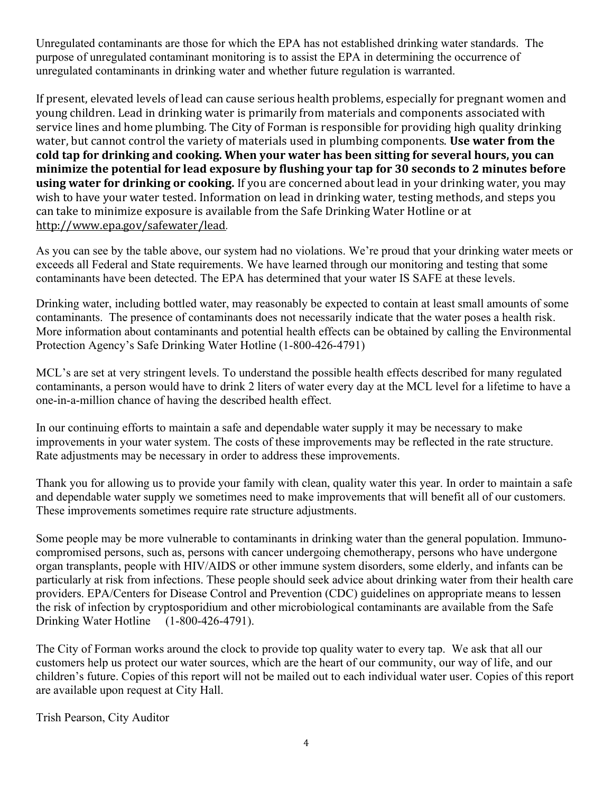Unregulated contaminants are those for which the EPA has not established drinking water standards. The purpose of unregulated contaminant monitoring is to assist the EPA in determining the occurrence of unregulated contaminants in drinking water and whether future regulation is warranted.

If present, elevated levels of lead can cause serious health problems, especially for pregnant women and young children. Lead in drinking water is primarily from materials and components associated with service lines and home plumbing. The City of Forman is responsible for providing high quality drinking water, but cannot control the variety of materials used in plumbing components. Use water from the cold tap for drinking and cooking. When your water has been sitting for several hours, you can minimize the potential for lead exposure by flushing your tap for 30 seconds to 2 minutes before using water for drinking or cooking. If you are concerned about lead in your drinking water, you may wish to have your water tested. Information on lead in drinking water, testing methods, and steps you can take to minimize exposure is available from the Safe Drinking Water Hotline or at http://www.epa.gov/safewater/lead.

As you can see by the table above, our system had no violations. We're proud that your drinking water meets or exceeds all Federal and State requirements. We have learned through our monitoring and testing that some contaminants have been detected. The EPA has determined that your water IS SAFE at these levels.

Drinking water, including bottled water, may reasonably be expected to contain at least small amounts of some contaminants. The presence of contaminants does not necessarily indicate that the water poses a health risk. More information about contaminants and potential health effects can be obtained by calling the Environmental Protection Agency's Safe Drinking Water Hotline (1-800-426-4791)

MCL's are set at very stringent levels. To understand the possible health effects described for many regulated contaminants, a person would have to drink 2 liters of water every day at the MCL level for a lifetime to have a one-in-a-million chance of having the described health effect.

In our continuing efforts to maintain a safe and dependable water supply it may be necessary to make improvements in your water system. The costs of these improvements may be reflected in the rate structure. Rate adjustments may be necessary in order to address these improvements.

Thank you for allowing us to provide your family with clean, quality water this year. In order to maintain a safe and dependable water supply we sometimes need to make improvements that will benefit all of our customers. These improvements sometimes require rate structure adjustments.

Some people may be more vulnerable to contaminants in drinking water than the general population. Immunocompromised persons, such as, persons with cancer undergoing chemotherapy, persons who have undergone organ transplants, people with HIV/AIDS or other immune system disorders, some elderly, and infants can be particularly at risk from infections. These people should seek advice about drinking water from their health care providers. EPA/Centers for Disease Control and Prevention (CDC) guidelines on appropriate means to lessen the risk of infection by cryptosporidium and other microbiological contaminants are available from the Safe Drinking Water Hotline (1-800-426-4791).

The City of Forman works around the clock to provide top quality water to every tap. We ask that all our customers help us protect our water sources, which are the heart of our community, our way of life, and our children's future. Copies of this report will not be mailed out to each individual water user. Copies of this report are available upon request at City Hall.

Trish Pearson, City Auditor